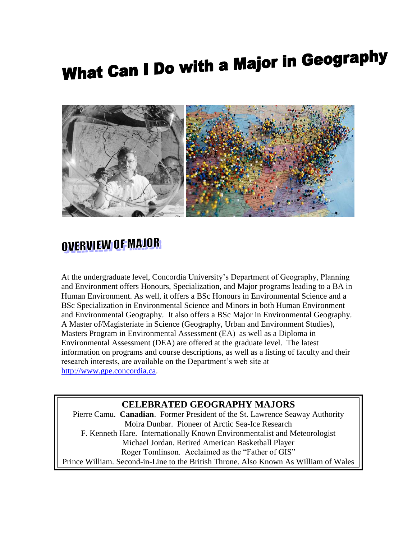# What Can I Do with a Major in Geography



### OVERVIEW OF MAJOR

At the undergraduate level, Concordia University's Department of Geography, Planning and Environment offers Honours, Specialization, and Major programs leading to a BA in Human Environment. As well, it offers a BSc Honours in Environmental Science and a BSc Specialization in Environmental Science and Minors in both Human Environment and Environmental Geography. It also offers a BSc Major in Environmental Geography. A Master of/Magisteriate in Science (Geography, Urban and Environment Studies), Masters Program in [Environmental Assessment \(EA\)](http://www.gpe.concordia.ca/graduate-programs/menv/ea_definition.html) as well as a Diploma in Environmental Assessment (DEA) are offered at the graduate level. The latest information on programs and course descriptions, as well as a listing of faculty and their research interests, are available on the Department's web site at [http://www.gpe.concordia.ca.](http://www.gpe.concordia.ca/)

#### **CELEBRATED GEOGRAPHY MAJORS**

Pierre Camu. **Canadian**. Former President of the St. Lawrence Seaway Authority Moira Dunbar. Pioneer of Arctic Sea-Ice Research F. Kenneth Hare. Internationally Known Environmentalist and Meteorologist Michael Jordan. Retired American Basketball Player Roger Tomlinson. Acclaimed as the "Father of GIS" Prince William. Second-in-Line to the British Throne. Also Known As William of Wales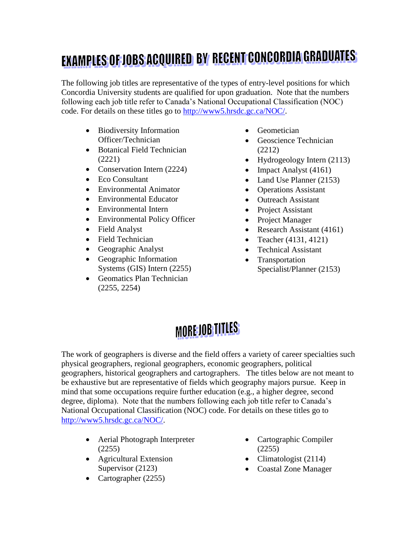## **EXAMPLES OF JOBS ACQUIRED BY RECENT CONCORDIA GRADUATES**

The following job titles are representative of the types of entry-level positions for which Concordia University students are qualified for upon graduation. Note that the numbers following each job title refer to Canada's National Occupational Classification (NOC) code. For details on these titles go to [http://www5.hrsdc.gc.ca/NOC/.](http://www5.hrsdc.gc.ca/NOC/)

- Biodiversity Information Officer/Technician
- Botanical Field Technician (2221)
- Conservation Intern (2224)
- Eco Consultant
- Environmental Animator
- Environmental Educator
- Environmental Intern
- Environmental Policy Officer
- Field Analyst
- Field Technician
- Geographic Analyst
- Geographic Information Systems (GIS) Intern (2255)
- Geomatics Plan Technician (2255, 2254)
- Geometician
- Geoscience Technician (2212)
- Hydrogeology Intern (2113)
- Impact Analyst  $(4161)$
- Land Use Planner (2153)
- Operations Assistant
- Outreach Assistant
- Project Assistant
- Project Manager
- Research Assistant (4161)
- Teacher  $(4131, 4121)$
- Technical Assistant
- Transportation Specialist/Planner (2153)

## MORE JOB TITLES

The work of geographers is diverse and the field offers a variety of career specialties such physical geographers, regional geographers, economic geographers, political geographers, historical geographers and cartographers. The titles below are not meant to be exhaustive but are representative of fields which geography majors pursue. Keep in mind that some occupations require further education (e.g., a higher degree, second degree, diploma). Note that the numbers following each job title refer to Canada's National Occupational Classification (NOC) code. For details on these titles go to [http://www5.hrsdc.gc.ca/NOC/.](http://www5.hrsdc.gc.ca/NOC/)

- Aerial Photograph Interpreter (2255)
- Agricultural Extension Supervisor (2123)
- Cartographer (2255)
- Cartographic Compiler (2255)
- Climatologist  $(2114)$
- Coastal Zone Manager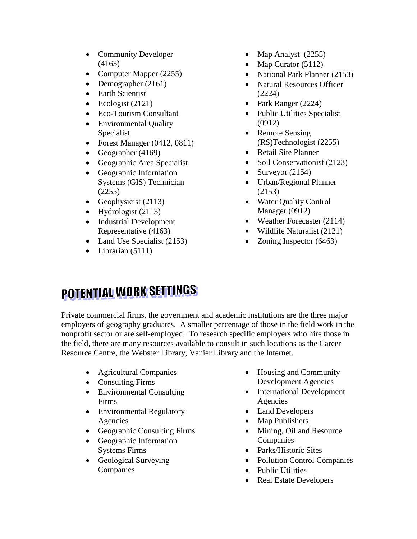- Community Developer (4163)
- Computer Mapper (2255)
- Demographer (2161)
- Earth Scientist
- $\bullet$  Ecologist (2121)
- Eco-Tourism Consultant
- Environmental Quality Specialist
- Forest Manager (0412, 0811)
- Geographer  $(4169)$
- Geographic Area Specialist
- Geographic Information Systems (GIS) Technician (2255)
- Geophysicist  $(2113)$
- $\bullet$  Hydrologist (2113)
- Industrial Development Representative (4163)
- Land Use Specialist (2153)
- $\bullet$  Librarian (5111)
- Map Analyst (2255)
- Map Curator  $(5112)$
- National Park Planner (2153)
- Natural Resources Officer (2224)
- Park Ranger (2224)
- Public Utilities Specialist (0912)
- Remote Sensing (RS)Technologist (2255)
- Retail Site Planner
- Soil Conservationist (2123)
- Surveyor  $(2154)$
- Urban/Regional Planner (2153)
- Water Quality Control Manager (0912)
- Weather Forecaster (2114)
- Wildlife Naturalist (2121)
- Zoning Inspector (6463)

## **POTENTIAL WORK SETTINGS**

Private commercial firms, the government and academic institutions are the three major employers of geography graduates. A smaller percentage of those in the field work in the nonprofit sector or are self-employed. To research specific employers who hire those in the field, there are many resources available to consult in such locations as the Career Resource Centre, the Webster Library, Vanier Library and the Internet.

- Agricultural Companies
- Consulting Firms
- Environmental Consulting Firms
- Environmental Regulatory Agencies
- Geographic Consulting Firms
- Geographic Information Systems Firms
- Geological Surveying Companies
- Housing and Community Development Agencies
- International Development Agencies
- Land Developers
- Map Publishers
- Mining, Oil and Resource **Companies**
- Parks/Historic Sites
- Pollution Control Companies
- Public Utilities
- Real Estate Developers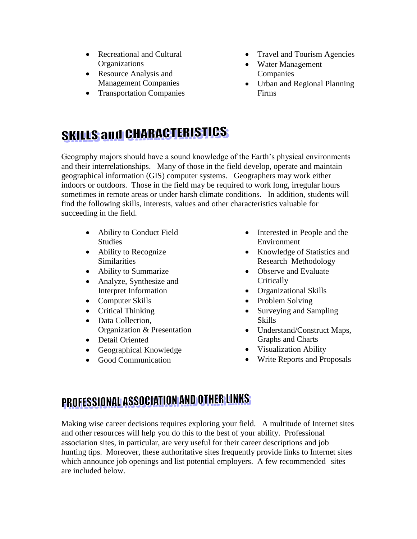- Recreational and Cultural **Organizations**
- Resource Analysis and Management Companies
- Transportation Companies
- Travel and Tourism Agencies
- Water Management Companies
- Urban and Regional Planning Firms

## **SKILLS and CHARACTERISTICS**

Geography majors should have a sound knowledge of the Earth's physical environments and their interrelationships. Many of those in the field develop, operate and maintain geographical information (GIS) computer systems. Geographers may work either indoors or outdoors. Those in the field may be required to work long, irregular hours sometimes in remote areas or under harsh climate conditions. In addition, students will find the following skills, interests, values and other characteristics valuable for succeeding in the field.

- Ability to Conduct Field Studies
- Ability to Recognize **Similarities**
- Ability to Summarize
- Analyze, Synthesize and Interpret Information
- Computer Skills
- Critical Thinking
- Data Collection, Organization & Presentation
- Detail Oriented
- Geographical Knowledge
- Good Communication
- Interested in People and the Environment
- Knowledge of Statistics and Research Methodology
- Observe and Evaluate **Critically**
- Organizational Skills
- Problem Solving
- Surveying and Sampling Skills
- Understand/Construct Maps, Graphs and Charts
- Visualization Ability
- Write Reports and Proposals

### PROFESSIONAL ASSOCIATION AND OTHER LINKS

Making wise career decisions requires exploring your field. A multitude of Internet sites and other resources will help you do this to the best of your ability. Professional association sites, in particular, are very useful for their career descriptions and job hunting tips. Moreover, these authoritative sites frequently provide links to Internet sites which announce job openings and list potential employers. A few recommended sites are included below.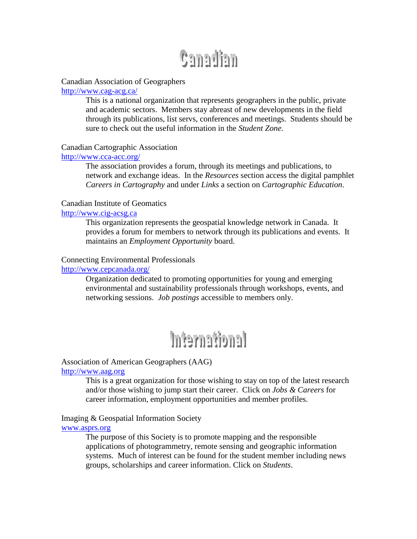## **Canadian**

#### Canadian Association of Geographers

<http://www.cag-acg.ca/>

This is a national organization that represents geographers in the public, private and academic sectors. Members stay abreast of new developments in the field through its publications, list servs, conferences and meetings. Students should be sure to check out the useful information in the *Student Zone.*

#### Canadian Cartographic Association

#### <http://www.cca-acc.org/>

The association provides a forum, through its meetings and publications, to network and exchange ideas. In the *Resources* section access the digital pamphlet *Careers in Cartography* and under *Links* a section on *Cartographic Education*.

#### Canadian Institute of Geomatics

#### [http://www.cig-acsg.ca](http://www.cig-acsg.ca/)

This organization represents the geospatial knowledge network in Canada. It provides a forum for members to network through its publications and events. It maintains an *Employment Opportunity* board.

#### Connecting Environmental Professionals

#### <http://www.cepcanada.org/>

Organization dedicated to promoting opportunities for young and emerging environmental and sustainability professionals through workshops, events, and networking sessions. *Job postings* accessible to members only.

## International

#### Association of American Geographers (AAG)

#### [http://www.aag.org](http://www.aag.org/)

This is a great organization for those wishing to stay on top of the latest research and/or those wishing to jump start their career. Click on *Jobs & Careers* for career information, employment opportunities and member profiles.

#### Imaging & Geospatial Information Society

#### [www.asprs.org](http://www.asprs.org/)

The purpose of this Society is to promote mapping and the responsible applications of photogrammetry, remote sensing and geographic information systems. Much of interest can be found for the student member including news groups, scholarships and career information. Click on *Students*.